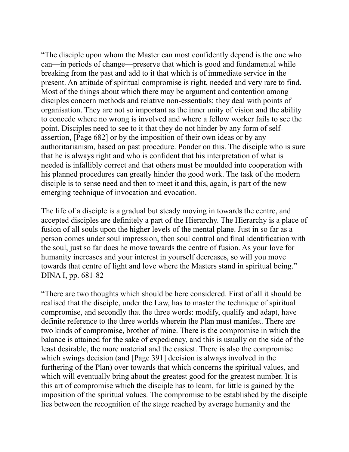"The disciple upon whom the Master can most confidently depend is the one who can—in periods of change—preserve that which is good and fundamental while breaking from the past and add to it that which is of immediate service in the present. An attitude of spiritual compromise is right, needed and very rare to find. Most of the things about which there may be argument and contention among disciples concern methods and relative non-essentials; they deal with points of organisation. They are not so important as the inner unity of vision and the ability to concede where no wrong is involved and where a fellow worker fails to see the point. Disciples need to see to it that they do not hinder by any form of selfassertion, [Page 682] or by the imposition of their own ideas or by any authoritarianism, based on past procedure. Ponder on this. The disciple who is sure that he is always right and who is confident that his interpretation of what is needed is infallibly correct and that others must be moulded into cooperation with his planned procedures can greatly hinder the good work. The task of the modern disciple is to sense need and then to meet it and this, again, is part of the new emerging technique of invocation and evocation.

The life of a disciple is a gradual but steady moving in towards the centre, and accepted disciples are definitely a part of the Hierarchy. The Hierarchy is a place of fusion of all souls upon the higher levels of the mental plane. Just in so far as a person comes under soul impression, then soul control and final identification with the soul, just so far does he move towards the centre of fusion. As your love for humanity increases and your interest in yourself decreases, so will you move towards that centre of light and love where the Masters stand in spiritual being." DINA I, pp. 681-82

"There are two thoughts which should be here considered. First of all it should be realised that the disciple, under the Law, has to master the technique of spiritual compromise, and secondly that the three words: modify, qualify and adapt, have definite reference to the three worlds wherein the Plan must manifest. There are two kinds of compromise, brother of mine. There is the compromise in which the balance is attained for the sake of expediency, and this is usually on the side of the least desirable, the more material and the easiest. There is also the compromise which swings decision (and [Page 391] decision is always involved in the furthering of the Plan) over towards that which concerns the spiritual values, and which will eventually bring about the greatest good for the greatest number. It is this art of compromise which the disciple has to learn, for little is gained by the imposition of the spiritual values. The compromise to be established by the disciple lies between the recognition of the stage reached by average humanity and the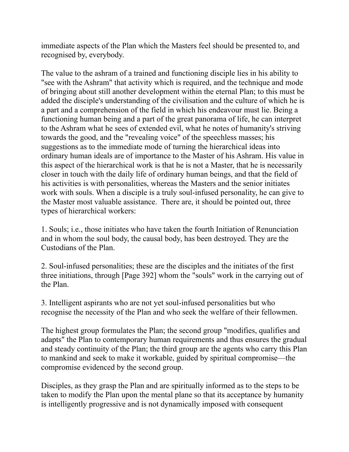immediate aspects of the Plan which the Masters feel should be presented to, and recognised by, everybody.

The value to the ashram of a trained and functioning disciple lies in his ability to "see with the Ashram" that activity which is required, and the technique and mode of bringing about still another development within the eternal Plan; to this must be added the disciple's understanding of the civilisation and the culture of which he is a part and a comprehension of the field in which his endeavour must lie. Being a functioning human being and a part of the great panorama of life, he can interpret to the Ashram what he sees of extended evil, what he notes of humanity's striving towards the good, and the "revealing voice" of the speechless masses; his suggestions as to the immediate mode of turning the hierarchical ideas into ordinary human ideals are of importance to the Master of his Ashram. His value in this aspect of the hierarchical work is that he is not a Master, that he is necessarily closer in touch with the daily life of ordinary human beings, and that the field of his activities is with personalities, whereas the Masters and the senior initiates work with souls. When a disciple is a truly soul-infused personality, he can give to the Master most valuable assistance. There are, it should be pointed out, three types of hierarchical workers:

1. Souls; i.e., those initiates who have taken the fourth Initiation of Renunciation and in whom the soul body, the causal body, has been destroyed. They are the Custodians of the Plan.

2. Soul-infused personalities; these are the disciples and the initiates of the first three initiations, through [Page 392] whom the "souls" work in the carrying out of the Plan.

3. Intelligent aspirants who are not yet soul-infused personalities but who recognise the necessity of the Plan and who seek the welfare of their fellowmen.

The highest group formulates the Plan; the second group "modifies, qualifies and adapts" the Plan to contemporary human requirements and thus ensures the gradual and steady continuity of the Plan; the third group are the agents who carry this Plan to mankind and seek to make it workable, guided by spiritual compromise—the compromise evidenced by the second group.

Disciples, as they grasp the Plan and are spiritually informed as to the steps to be taken to modify the Plan upon the mental plane so that its acceptance by humanity is intelligently progressive and is not dynamically imposed with consequent